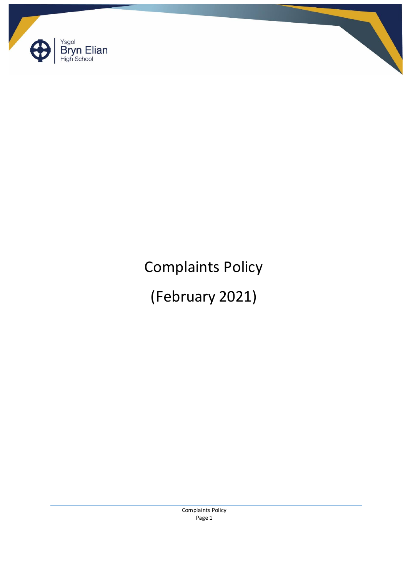



(February 2021)

Complaints Policy Page 1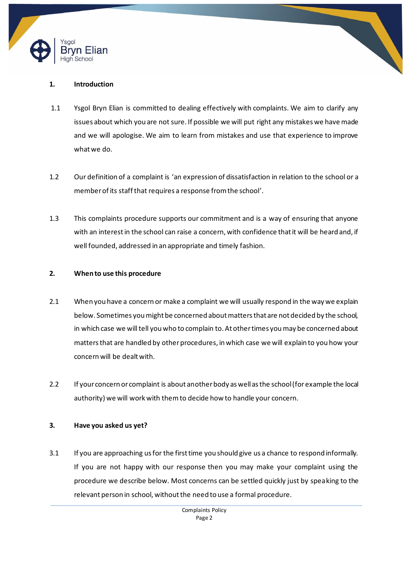



- 1.1 Ysgol Bryn Elian is committed to dealing effectively with complaints. We aim to clarify any issues about which you are not sure. If possible we will put right any mistakes we have made and we will apologise. We aim to learn from mistakes and use that experience to improve what we do.
- 1.2 Our definition of a complaint is 'an expression of dissatisfaction in relation to the school or a member of its staff that requires a response from the school'.
- 1.3 This complaints procedure supports our commitment and is a way of ensuring that anyone with an interest in the school can raise a concern, with confidence that it will be heard and, if well founded, addressed in an appropriate and timely fashion.

## **2. When to use this procedure**

- 2.1 When you have a concern or make a complaint we will usually respond in the way we explain below. Sometimes you might be concerned about matters that are not decided by the school, in which case we will tell you who to complain to. At other times you may be concerned about matters that are handled by other procedures, in which case we will explain to you how your concern will be dealt with.
- 2.2 If your concern or complaint is about another body as well as the school (for example the local authority) we will work with them to decide how to handle your concern.

## **3. Have you asked us yet?**

3.1 If you are approaching us for the first time you should give us a chance to respond informally. If you are not happy with our response then you may make your complaint using the procedure we describe below. Most concerns can be settled quickly just by speaking to the relevant person in school, without the need to use a formal procedure.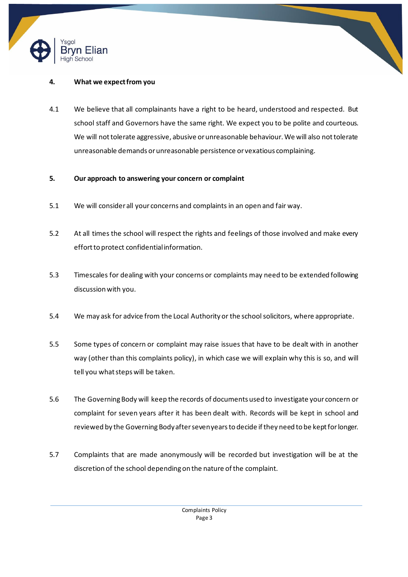



4.1 We believe that all complainants have a right to be heard, understood and respected. But school staff and Governors have the same right. We expect you to be polite and courteous. We will not tolerate aggressive, abusive or unreasonable behaviour. We will also not tolerate unreasonable demands or unreasonable persistence or vexatious complaining.

## **5. Our approach to answering your concern or complaint**

- 5.1 We will consider all your concerns and complaints in an open and fair way.
- 5.2 At all times the school will respect the rights and feelings of those involved and make every effort to protect confidential information.
- 5.3 Timescales for dealing with your concerns or complaints may need to be extended following discussion with you.
- 5.4 We may ask for advice from the Local Authority or the school solicitors, where appropriate.
- 5.5 Some types of concern or complaint may raise issues that have to be dealt with in another way (other than this complaints policy), in which case we will explain why this is so, and will tell you what steps will be taken.
- 5.6 The Governing Body will keep the records of documents used to investigate your concern or complaint for seven years after it has been dealt with. Records will be kept in school and reviewed by the Governing Bodyafter seven years to decide if they need to be kept for longer.
- 5.7 Complaints that are made anonymously will be recorded but investigation will be at the discretion of the school depending on the nature of the complaint.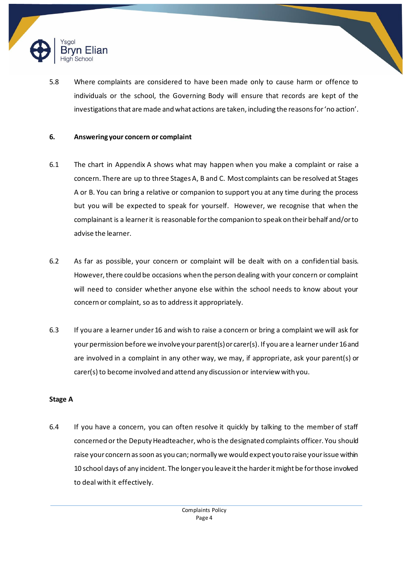

5.8 Where complaints are considered to have been made only to cause harm or offence to individuals or the school, the Governing Body will ensure that records are kept of the investigations that are made and what actions are taken, including the reasons for 'no action'.

### **6. Answering your concern or complaint**

- 6.1 The chart in Appendix A shows what may happen when you make a complaint or raise a concern. There are up to three Stages A, B and C. Most complaints can be resolved at Stages A or B. You can bring a relative or companion to support you at any time during the process but you will be expected to speak for yourself. However, we recognise that when the complainant is a learnerit is reasonable for the companion to speak on their behalf and/or to advise the learner.
- 6.2 As far as possible, your concern or complaint will be dealt with on a confidential basis. However, there could be occasions when the person dealing with your concern or complaint will need to consider whether anyone else within the school needs to know about your concern or complaint, so as to address it appropriately.
- 6.3 If you are a learner under 16 and wish to raise a concern or bring a complaint we will ask for your permission before we involve your parent(s) or carer(s). If you are a learnerunder 16 and are involved in a complaint in any other way, we may, if appropriate, ask your parent(s) or carer(s) to become involved and attend any discussion or interview with you.

## **Stage A**

6.4 If you have a concern, you can often resolve it quickly by talking to the member of staff concerned or the Deputy Headteacher, who is the designated complaints officer. You should raise your concern as soon as you can; normally we would expect you to raise your issue within 10 school days of any incident. The longer you leave it the harder it might be for those involved to deal with it effectively.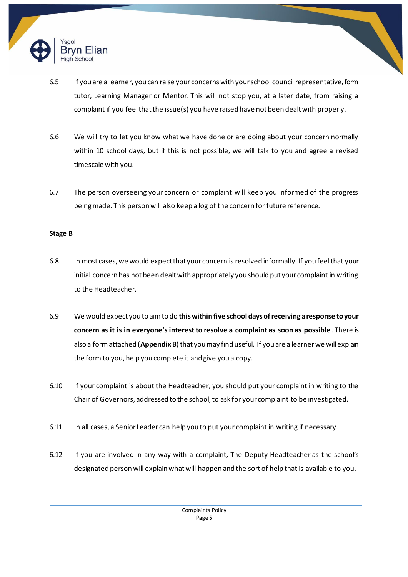

- 6.5 If you are a learner, you can raise your concerns with your school council representative, form tutor, Learning Manager or Mentor. This will not stop you, at a later date, from raising a complaint if you feel that the issue(s) you have raised have not been dealt with properly.
- 6.6 We will try to let you know what we have done or are doing about your concern normally within 10 school days, but if this is not possible, we will talk to you and agree a revised timescale with you.
- 6.7 The person overseeing your concern or complaint will keep you informed of the progress being made. This person will also keep a log of the concern for future reference.

### **Stage B**

- 6.8 In most cases, we would expect that your concern is resolved informally. If you feel that your initial concern has not been dealt with appropriately you should put your complaint in writing to the Headteacher.
- 6.9 We would expect you to aim to do **this within five school days of receiving a response to your concern as it is in everyone's interest to resolve a complaint as soon as possible**. There is also a form attached (**Appendix B**) that you may find useful. If you are a learnerwe will explain the form to you, help you complete it and give you a copy.
- 6.10 If your complaint is about the Headteacher, you should put your complaint in writing to the Chair of Governors, addressed to the school, to ask for your complaint to be investigated.
- 6.11 In all cases, a Senior Leader can help you to put your complaint in writing if necessary.
- 6.12 If you are involved in any way with a complaint, The Deputy Headteacher as the school's designated person will explain what will happen and the sort of help that is available to you.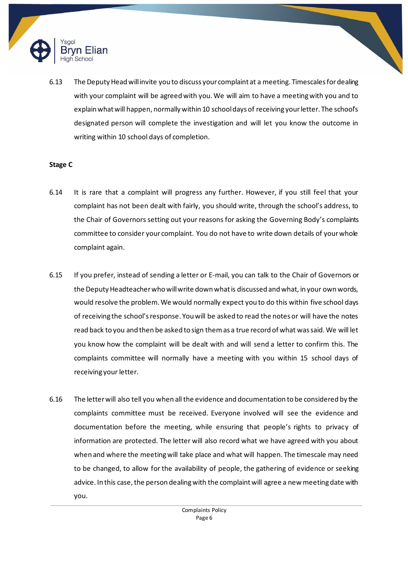

6.13 The Deputy Head will invite you to discuss your complaint at a meeting. Timescales for dealing with your complaint will be agreed with you. We will aim to have a meeting with you and to explain what will happen, normally within 10 school days of receiving your letter. The school's designated person will complete the investigation and will let you know the outcome in writing within 10 school days of completion.

## **Stage C**

- 6.14 It is rare that a complaint will progress any further. However, if you still feel that your complaint has not been dealt with fairly, you should write, through the school's address, to the Chair of Governors setting out your reasons for asking the Governing Body's complaints committee to consider your complaint. You do not have to write down details of your whole complaint again.
- 6.15 If you prefer, instead of sending a letter or E-mail, you can talk to the Chair of Governors or the Deputy Headteacher who will write down what is discussed and what, in your own words, would resolve the problem. We would normally expect you to do this within five school days of receiving the school's response. You will be asked to read the notes or will have the notes read back to you and then be asked to sign them as a true record of what was said. We will let you know how the complaint will be dealt with and will send a letter to confirm this. The complaints committee will normally have a meeting with you within 15 school days of receiving your letter.
- 6.16 The letter will also tell you when all the evidence and documentation to be considered by the complaints committee must be received. Everyone involved will see the evidence and documentation before the meeting, while ensuring that people's rights to privacy of information are protected. The letter will also record what we have agreed with you about when and where the meeting will take place and what will happen. The timescale may need to be changed, to allow for the availability of people, the gathering of evidence or seeking advice. In this case, the person dealing with the complaint will agree a new meeting date with you.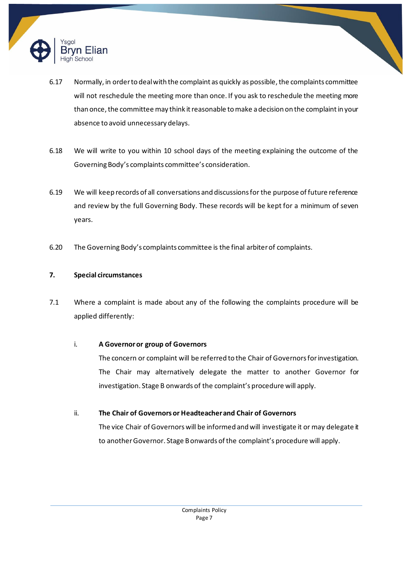

- 6.17 Normally, in order to deal with the complaint as quickly as possible, the complaints committee will not reschedule the meeting more than once. If you ask to reschedule the meeting more than once, the committee may think it reasonable to make a decision on the complaint in your absence to avoid unnecessary delays.
- 6.18 We will write to you within 10 school days of the meeting explaining the outcome of the Governing Body's complaints committee's consideration.
- 6.19 We will keep records of all conversations and discussions for the purpose of future reference and review by the full Governing Body. These records will be kept for a minimum of seven years.
- 6.20 The Governing Body's complaints committee is the final arbiter of complaints.

# **7. Special circumstances**

7.1 Where a complaint is made about any of the following the complaints procedure will be applied differently:

# i. **A Governoror group of Governors**

The concern or complaint will be referred to the Chair of Governors for investigation. The Chair may alternatively delegate the matter to another Governor for investigation. Stage B onwards of the complaint's procedure will apply.

# ii. **The Chair of Governors or Headteacher and Chair of Governors**

The vice Chair of Governors will be informed and will investigate it or may delegate it to another Governor. Stage B onwards of the complaint's procedure will apply.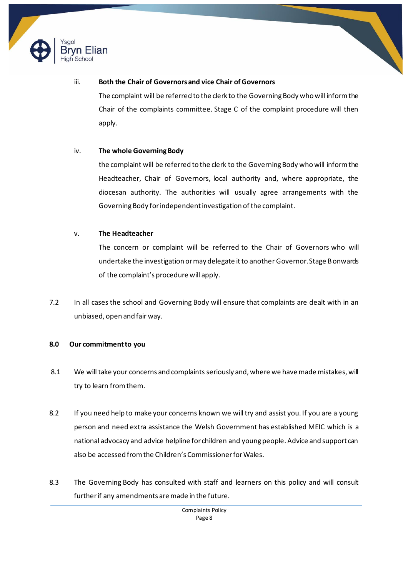



## iii. **Both the Chair of Governors and vice Chair of Governors**

The complaint will be referred to the clerk to the Governing Body who will inform the Chair of the complaints committee. Stage C of the complaint procedure will then apply.

## iv. **The whole Governing Body**

the complaint will be referred to the clerk to the Governing Body who will inform the Headteacher, Chair of Governors, local authority and, where appropriate, the diocesan authority. The authorities will usually agree arrangements with the Governing Body for independent investigation of the complaint.

## v. **The Headteacher**

The concern or complaint will be referred to the Chair of Governors who will undertake the investigation or may delegate it to another Governor. Stage B onwards of the complaint's procedure will apply.

7.2 In all cases the school and Governing Body will ensure that complaints are dealt with in an unbiased, open and fair way.

## **8.0 Our commitment to you**

- 8.1 We will take your concerns and complaints seriously and, where we have made mistakes, will try to learn from them.
- 8.2 If you need help to make your concerns known we will try and assist you. If you are a young person and need extra assistance the Welsh Government has established MEIC which is a national advocacy and advice helpline for children and young people. Advice and support can also be accessed from the Children's Commissioner for Wales.
- 8.3 The Governing Body has consulted with staff and learners on this policy and will consult further if any amendments are made in the future.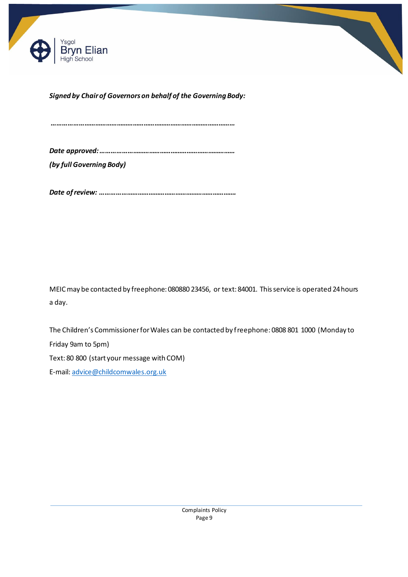



*Signed by Chairof Governors on behalf of the Governing Body:* 

*…………………………………………………………………………………………*

*Date approved: ………………………………………………………………… (by full Governing Body)*

*Date of review: ………………………………………………………………….*

MEIC may be contacted by freephone: 080880 23456, or text: 84001. This service is operated 24 hours a day.

The Children's Commissioner for Wales can be contacted by freephone: 0808 801 1000 (Monday to Friday 9am to 5pm) Text: 80 800 (start your message with COM)

E-mail: advice@childcomwales.org.uk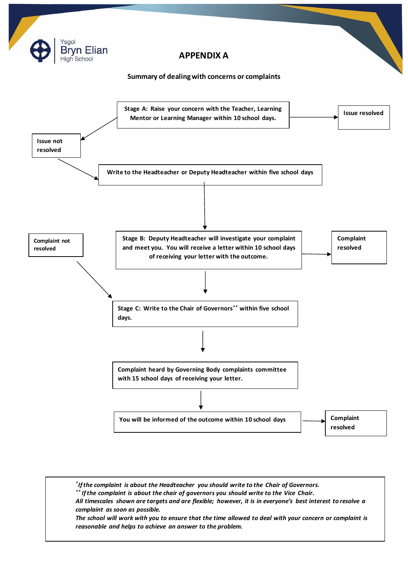

The school will work with you to ensure that the time allowed to deal with your concern or complaint is *\* If the complaint is about the Headteacher you should write to the Chair of Governors. \*\* If the complaint is about the chair of governors you should write to the Vice Chair. All timescales shown are targets and are flexible; however, it is in everyone's best interest to resolve a complaint as soon as possible. reasonable and helps to achieve an answer to the problem.*